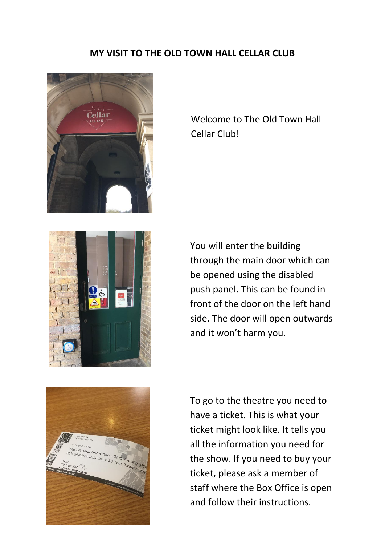## **MY VISIT TO THE OLD TOWN HALL CELLAR CLUB**







Welcome to The Old Town Hall Cellar Club!

You will enter the building through the main door which can be opened using the disabled push panel. This can be found in front of the door on the left hand side. The door will open outwards and it won't harm you.

To go to the theatre you need to have a ticket. This is what your ticket might look like. It tells you all the information you need for the show. If you need to buy your ticket, please ask a member of staff where the Box Office is open and follow their instructions.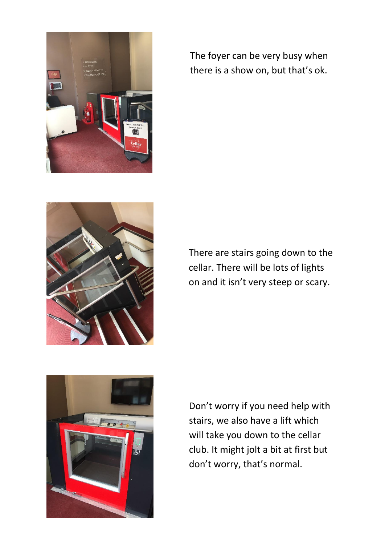

The foyer can be very busy when there is a show on, but that's ok.



There are stairs going down to the cellar. There will be lots of lights on and it isn't very steep or scary.



Don't worry if you need help with stairs, we also have a lift which will take you down to the cellar club. It might jolt a bit at first but don't worry, that's normal.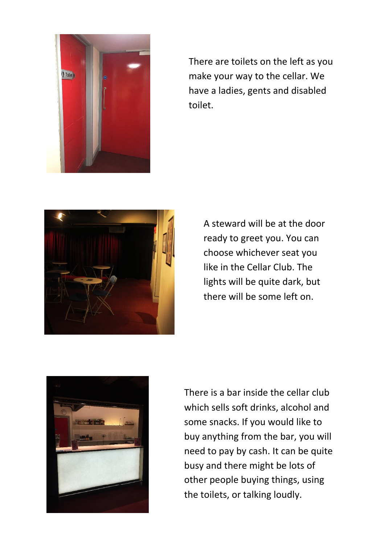

There are toilets on the left as you make your way to the cellar. We have a ladies, gents and disabled toilet.



A steward will be at the door ready to greet you. You can choose whichever seat you like in the Cellar Club. The lights will be quite dark, but there will be some left on.



There is a bar inside the cellar club which sells soft drinks, alcohol and some snacks. If you would like to buy anything from the bar, you will need to pay by cash. It can be quite busy and there might be lots of other people buying things, using the toilets, or talking loudly.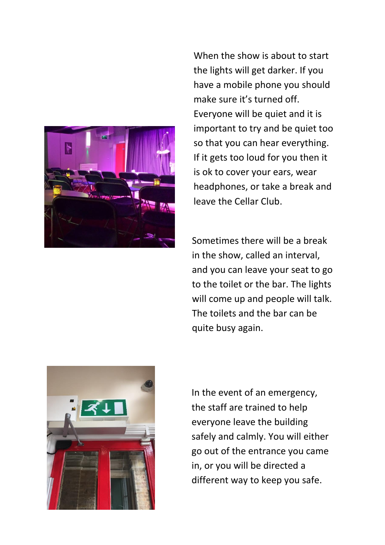

When the show is about to start the lights will get darker. If you have a mobile phone you should make sure it's turned off. Everyone will be quiet and it is important to try and be quiet too so that you can hear everything. If it gets too loud for you then it is ok to cover your ears, wear headphones, or take a break and leave the Cellar Club.

Sometimes there will be a break in the show, called an interval, and you can leave your seat to go to the toilet or the bar. The lights will come up and people will talk. The toilets and the bar can be quite busy again.



In the event of an emergency, the staff are trained to help everyone leave the building safely and calmly. You will either go out of the entrance you came in, or you will be directed a different way to keep you safe.